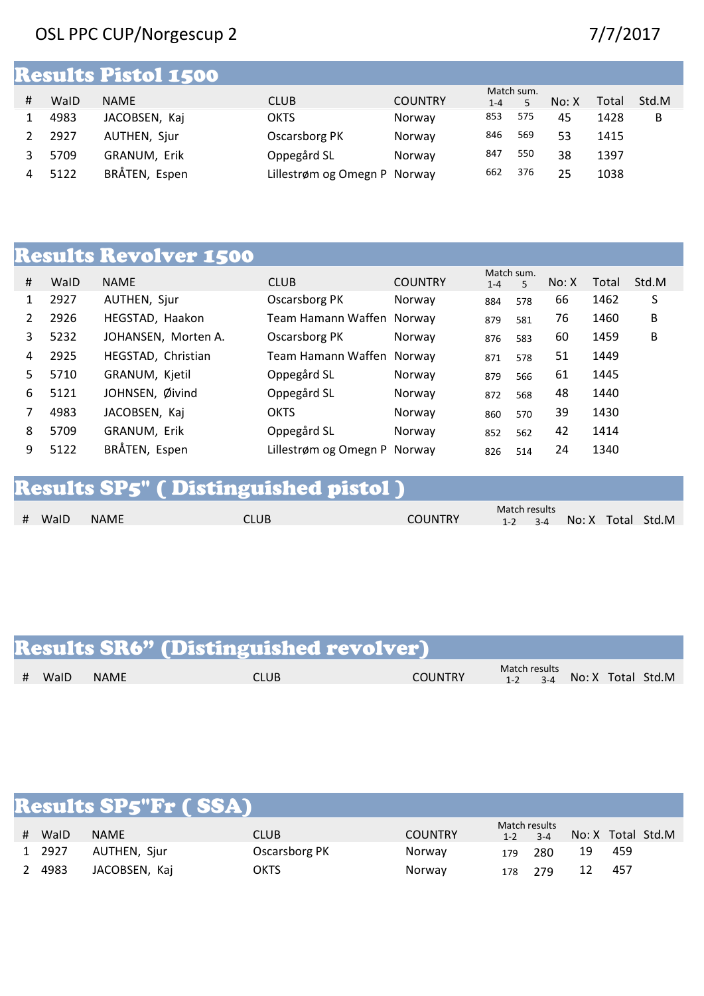### OSL PPC CUP/Norgescup 2 7/7/2017

|   |      | <b>Results Pistol 1500</b> |                              |                |            |     |       |       |       |
|---|------|----------------------------|------------------------------|----------------|------------|-----|-------|-------|-------|
|   |      |                            |                              |                | Match sum. |     |       |       |       |
| Ħ | WalD | <b>NAME</b>                | <b>CLUB</b>                  | <b>COUNTRY</b> | $1 - 4$    | 5   | No: X | Total | Std.M |
|   | 4983 | JACOBSEN, Kaj              | <b>OKTS</b>                  | Norway         | 853        | 575 | 45    | 1428  | B     |
|   | 2927 | AUTHEN, Sjur               | Oscarsborg PK                | Norway         | 846        | 569 | 53    | 1415  |       |
|   | 5709 | GRANUM, Erik               | Oppegård SL                  | Norway         | 847        | 550 | 38    | 1397  |       |
| 4 | 5122 | BRÅTEN, Espen              | Lillestrøm og Omegn P Norway |                | 662        | 376 | 25    | 1038  |       |

# Results Revolver 1500

|    |      |                     |                              |                | Match sum. |     |       |       |       |
|----|------|---------------------|------------------------------|----------------|------------|-----|-------|-------|-------|
| #  | WalD | <b>NAME</b>         | <b>CLUB</b>                  | <b>COUNTRY</b> | $1 - 4$    | 5   | No: X | Total | Std.M |
| 1  | 2927 | AUTHEN, Sjur        | Oscarsborg PK                | Norway         | 884        | 578 | 66    | 1462  | S     |
|    | 2926 | HEGSTAD, Haakon     | Team Hamann Waffen Norway    |                | 879        | 581 | 76    | 1460  | B     |
| 3  | 5232 | JOHANSEN, Morten A. | Oscarsborg PK                | Norway         | 876        | 583 | 60    | 1459  | B     |
| 4  | 2925 | HEGSTAD, Christian  | Team Hamann Waffen Norway    |                | 871        | 578 | 51    | 1449  |       |
| 5. | 5710 | GRANUM, Kjetil      | Oppegård SL                  | Norway         | 879        | 566 | 61    | 1445  |       |
| 6  | 5121 | JOHNSEN, Øivind     | Oppegård SL                  | Norway         | 872        | 568 | 48    | 1440  |       |
|    | 4983 | JACOBSEN, Kaj       | <b>OKTS</b>                  | Norway         | 860        | 570 | 39    | 1430  |       |
| 8  | 5709 | GRANUM, Erik        | Oppegård SL                  | Norway         | 852        | 562 | 42    | 1414  |       |
| 9  | 5122 | BRÅTEN, Espen       | Lillestrøm og Omegn P Norway |                | 826        | 514 | 24    | 1340  |       |

# Results SP5" ( Distinguished pistol )

| # WalD<br><b>NAME</b> | CLUB | <b>COUNTRY</b> | Match results | $1-2$ $3-4$ |  | No: X Total Std.M |
|-----------------------|------|----------------|---------------|-------------|--|-------------------|
|                       |      |                |               |             |  |                   |

|        |      | <b>Results SR6" (Distinguished revolver)</b> |                |                                                 |  |  |
|--------|------|----------------------------------------------|----------------|-------------------------------------------------|--|--|
| # WaID | NAME | <b>CLUB</b>                                  | <b>COUNTRY</b> | Match results<br>$1-2$ $3-4$ No: X Total Std. M |  |  |

|   |        | <b>Results SP5"Fr ( SSA)</b> |               |                |                          |         |    |     |                   |
|---|--------|------------------------------|---------------|----------------|--------------------------|---------|----|-----|-------------------|
| # | WalD   | <b>NAME</b>                  | <b>CLUB</b>   | <b>COUNTRY</b> | Match results<br>$1 - 2$ | $3 - 4$ |    |     | No: X Total Std.M |
|   | 1 2927 | AUTHEN, Sjur                 | Oscarsborg PK | Norway         | 179                      | 280     | 19 | 459 |                   |
| 2 | 4983   | JACOBSEN, Kaj                | <b>OKTS</b>   | Norway         | 178                      | 279     | 12 | 457 |                   |